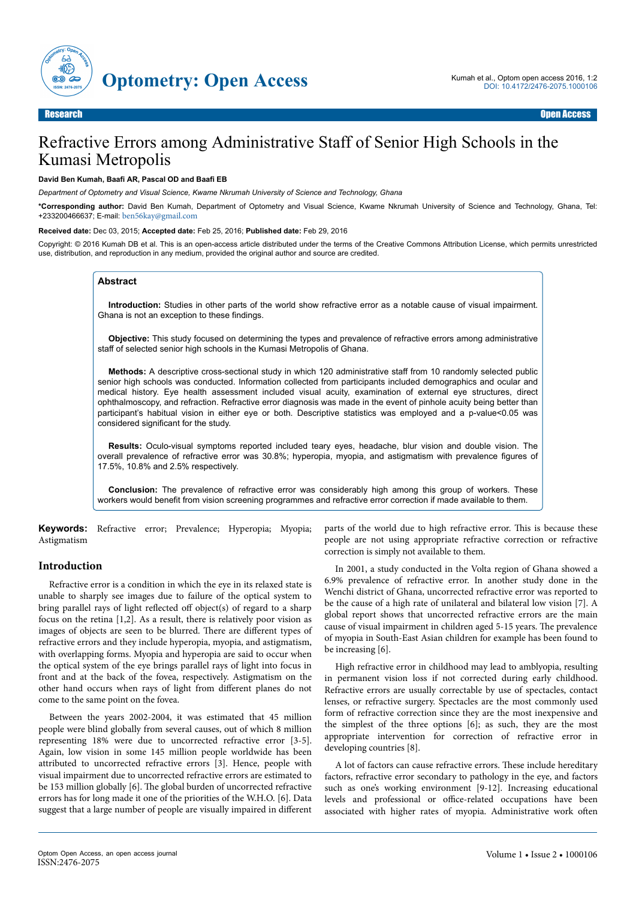

# Refractive Errors among Administrative Staff of Senior High Schools in the Kumasi Metropolis

#### **David Ben Kumah, Baafi AR, Pascal OD and Baafi EB**

*Department of Optometry and Visual Science, Kwame Nkrumah University of Science and Technology, Ghana*

**\*Corresponding author:** David Ben Kumah, Department of Optometry and Visual Science, Kwame Nkrumah University of Science and Technology, Ghana, Tel: +233200466637; E-mail: [ben56kay@gmail.com](mailto:ben56kay@gmail.com)

#### **Received date:** Dec 03, 2015; **Accepted date:** Feb 25, 2016; **Published date:** Feb 29, 2016

Copyright: © 2016 Kumah DB et al. This is an open-access article distributed under the terms of the Creative Commons Attribution License, which permits unrestricted use, distribution, and reproduction in any medium, provided the original author and source are credited.

#### **Abstract**

**Introduction:** Studies in other parts of the world show refractive error as a notable cause of visual impairment. Ghana is not an exception to these findings.

**Objective:** This study focused on determining the types and prevalence of refractive errors among administrative staff of selected senior high schools in the Kumasi Metropolis of Ghana.

**Methods:** A descriptive cross-sectional study in which 120 administrative staff from 10 randomly selected public senior high schools was conducted. Information collected from participants included demographics and ocular and medical history. Eye health assessment included visual acuity, examination of external eye structures, direct ophthalmoscopy, and refraction. Refractive error diagnosis was made in the event of pinhole acuity being better than participant's habitual vision in either eye or both. Descriptive statistics was employed and a p-value<0.05 was considered significant for the study.

**Results:** Oculo-visual symptoms reported included teary eyes, headache, blur vision and double vision. The overall prevalence of refractive error was 30.8%; hyperopia, myopia, and astigmatism with prevalence figures of 17.5%, 10.8% and 2.5% respectively.

**Conclusion:** The prevalence of refractive error was considerably high among this group of workers. These workers would benefit from vision screening programmes and refractive error correction if made available to them.

**Keywords:** Refractive error; Prevalence; Hyperopia; Myopia; Astigmatism

## **Introduction**

Refractive error is a condition in which the eye in its relaxed state is unable to sharply see images due to failure of the optical system to bring parallel rays of light reflected off object(s) of regard to a sharp focus on the retina [1,2]. As a result, there is relatively poor vision as images of objects are seen to be blurred. There are different types of refractive errors and they include hyperopia, myopia, and astigmatism, with overlapping forms. Myopia and hyperopia are said to occur when the optical system of the eye brings parallel rays of light into focus in front and at the back of the fovea, respectively. Astigmatism on the other hand occurs when rays of light from different planes do not come to the same point on the fovea.

Between the years 2002-2004, it was estimated that 45 million people were blind globally from several causes, out of which 8 million representing 18% were due to uncorrected refractive error [3-5]. Again, low vision in some 145 million people worldwide has been attributed to uncorrected refractive errors [3]. Hence, people with visual impairment due to uncorrected refractive errors are estimated to be 153 million globally [6]. Нe global burden of uncorrected refractive errors has for long made it one of the priorities of the W.H.O. [6]. Data suggest that a large number of people are visually impaired in different

parts of the world due to high refractive error. Нis is because these people are not using appropriate refractive correction or refractive correction is simply not available to them.

In 2001, a study conducted in the Volta region of Ghana showed a 6.9% prevalence of refractive error. In another study done in the Wenchi district of Ghana, uncorrected refractive error was reported to be the cause of a high rate of unilateral and bilateral low vision [7]. A global report shows that uncorrected refractive errors are the main cause of visual impairment in children aged 5-15 years. Нe prevalence of myopia in South-East Asian children for example has been found to be increasing [6].

High refractive error in childhood may lead to amblyopia, resulting in permanent vision loss if not corrected during early childhood. Refractive errors are usually correctable by use of spectacles, contact lenses, or refractive surgery. Spectacles are the most commonly used form of refractive correction since they are the most inexpensive and the simplest of the three options [6]; as such, they are the most appropriate intervention for correction of refractive error in developing countries [8].

A lot of factors can cause refractive errors. Нese include hereditary factors, refractive error secondary to pathology in the eye, and factors such as one's working environment [9-12]. Increasing educational levels and professional or office-related occupations have been associated with higher rates of myopia. Administrative work often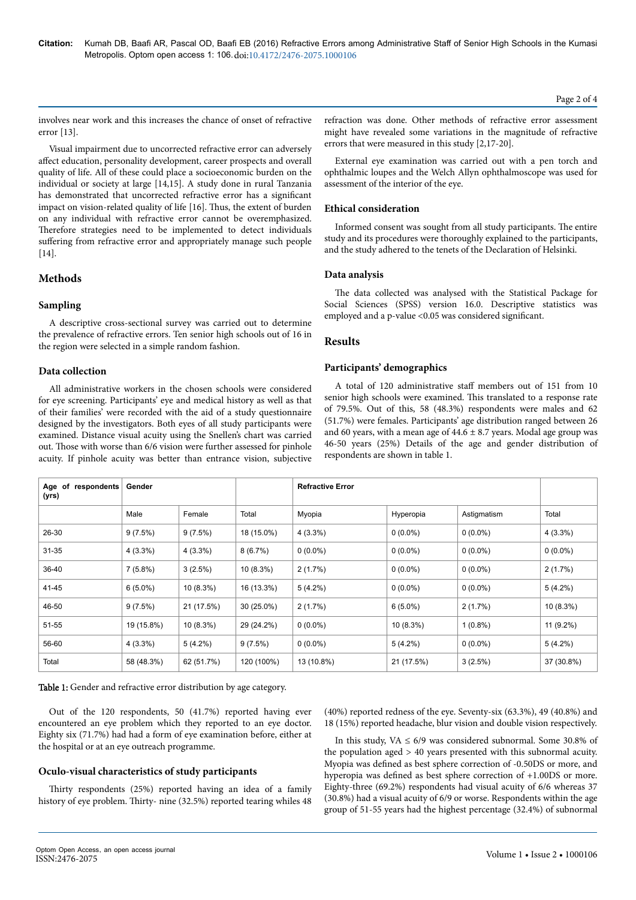involves near work and this increases the chance of onset of refractive error [13].

Visual impairment due to uncorrected refractive error can adversely affect education, personality development, career prospects and overall quality of life. All of these could place a socioeconomic burden on the individual or society at large [14,15]. A study done in rural Tanzania has demonstrated that uncorrected refractive error has a significant impact on vision-related quality of life [16]. Нus, the extent of burden on any individual with refractive error cannot be overemphasized. Нerefore strategies need to be implemented to detect individuals suffering from refractive error and appropriately manage such people [14].

# **Methods**

# **Sampling**

A descriptive cross-sectional survey was carried out to determine the prevalence of refractive errors. Ten senior high schools out of 16 in the region were selected in a simple random fashion.

# **Data collection**

All administrative workers in the chosen schools were considered for eye screening. Participants' eye and medical history as well as that of their families' were recorded with the aid of a study questionnaire designed by the investigators. Both eyes of all study participants were examined. Distance visual acuity using the Snellen's chart was carried out. Нose with worse than 6/6 vision were further assessed for pinhole acuity. If pinhole acuity was better than entrance vision, subjective

refraction was done. Other methods of refractive error assessment might have revealed some variations in the magnitude of refractive errors that were measured in this study [2,17-20].

External eye examination was carried out with a pen torch and ophthalmic loupes and the Welch Allyn ophthalmoscope was used for assessment of the interior of the eye.

# **Ethical consideration**

Informed consent was sought from all study participants. Нe entire study and its procedures were thoroughly explained to the participants, and the study adhered to the tenets of the Declaration of Helsinki.

## **Data analysis**

The data collected was analysed with the Statistical Package for Social Sciences (SPSS) version 16.0. Descriptive statistics was employed and a p-value <0.05 was considered significant.

# **Results**

# **Participants' demographics**

A total of 120 administrative staff members out of 151 from 10 senior high schools were examined. Нis translated to a response rate of 79.5%. Out of this, 58 (48.3%) respondents were males and 62 (51.7%) were females. Participants' age distribution ranged between 26 and 60 years, with a mean age of  $44.6 \pm 8.7$  years. Modal age group was 46-50 years (25%) Details of the age and gender distribution of respondents are shown in table 1.

| Age of<br>respondents<br>(yrs) | Gender     |            |              | <b>Refractive Error</b> |            |             |             |
|--------------------------------|------------|------------|--------------|-------------------------|------------|-------------|-------------|
|                                | Male       | Female     | Total        | Myopia                  | Hyperopia  | Astigmatism | Total       |
| 26-30                          | 9(7.5%)    | 9(7.5%)    | 18 (15.0%)   | $4(3.3\%)$              | $0(0.0\%)$ | $0(0.0\%)$  | $4(3.3\%)$  |
| $31 - 35$                      | $4(3.3\%)$ | $4(3.3\%)$ | 8(6.7%)      | $0(0.0\%)$              | $0(0.0\%)$ | $0(0.0\%)$  | $0(0.0\%)$  |
| 36-40                          | $7(5.8\%)$ | 3(2.5%)    | $10(8.3\%)$  | 2(1.7%)                 | $0(0.0\%)$ | $0(0.0\%)$  | 2(1.7%)     |
| 41-45                          | $6(5.0\%)$ | 10(8.3%)   | 16 (13.3%)   | $5(4.2\%)$              | $0(0.0\%)$ | $0(0.0\%)$  | $5(4.2\%)$  |
| 46-50                          | 9(7.5%)    | 21 (17.5%) | $30(25.0\%)$ | 2(1.7%)                 | $6(5.0\%)$ | 2(1.7%)     | $10(8.3\%)$ |
| 51-55                          | 19 (15.8%) | 10(8.3%)   | 29 (24.2%)   | $0(0.0\%)$              | 10(8.3%)   | $1(0.8\%)$  | $11(9.2\%)$ |
| 56-60                          | $4(3.3\%)$ | $5(4.2\%)$ | $9(7.5\%)$   | $0(0.0\%)$              | $5(4.2\%)$ | $0(0.0\%)$  | $5(4.2\%)$  |
| Total                          | 58 (48.3%) | 62 (51.7%) | 120 (100%)   | 13 (10.8%)              | 21 (17.5%) | 3(2.5%)     | 37 (30.8%)  |

Table 1: Gender and refractive error distribution by age category.

Out of the 120 respondents, 50 (41.7%) reported having ever encountered an eye problem which they reported to an eye doctor. Eighty six (71.7%) had had a form of eye examination before, either at the hospital or at an eye outreach programme.

# **Oculo-visual characteristics of study participants**

Thirty respondents (25%) reported having an idea of a family history of eye problem. Thirty- nine (32.5%) reported tearing whiles 48 (40%) reported redness of the eye. Seventy-six (63.3%), 49 (40.8%) and 18 (15%) reported headache, blur vision and double vision respectively.

In this study, VA  $\leq 6/9$  was considered subnormal. Some 30.8% of the population aged > 40 years presented with this subnormal acuity. Myopia was defined as best sphere correction of -0.50DS or more, and hyperopia was defined as best sphere correction of +1.00DS or more. Eighty-three (69.2%) respondents had visual acuity of 6/6 whereas 37 (30.8%) had a visual acuity of 6/9 or worse. Respondents within the age group of 51-55 years had the highest percentage (32.4%) of subnormal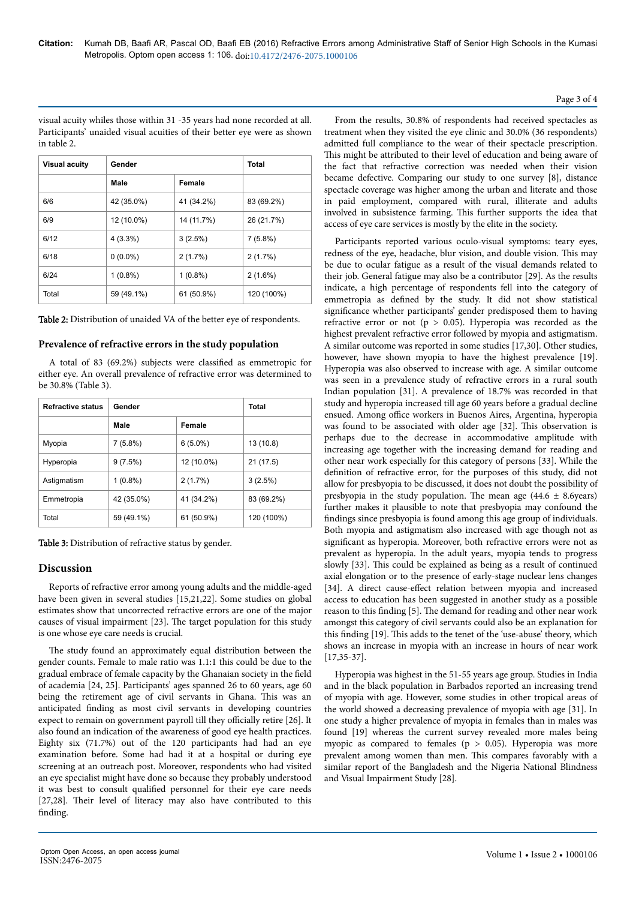visual acuity whiles those within 31 -35 years had none recorded at all. Participants' unaided visual acuities of their better eye were as shown in table 2.

| <b>Visual acuity</b> | Gender     | Total      |            |
|----------------------|------------|------------|------------|
|                      | Male       | Female     |            |
| 6/6                  | 42 (35.0%) | 41 (34.2%) | 83 (69.2%) |
| 6/9                  | 12 (10.0%) | 14 (11.7%) | 26 (21.7%) |
| 6/12                 | $4(3.3\%)$ | 3(2.5%)    | $7(5.8\%)$ |
| 6/18                 | $0(0.0\%)$ | 2(1.7%)    | 2(1.7%)    |
| 6/24                 | $1(0.8\%)$ | $1(0.8\%)$ | $2(1.6\%)$ |
| Total                | 59 (49.1%) | 61 (50.9%) | 120 (100%) |

Table 2: Distribution of unaided VA of the better eye of respondents.

#### **Prevalence of refractive errors in the study population**

A total of 83 (69.2%) subjects were classified as emmetropic for either eye. An overall prevalence of refractive error was determined to be 30.8% (Table 3).

| <b>Refractive status</b> | Gender     | <b>Total</b> |            |  |
|--------------------------|------------|--------------|------------|--|
|                          | Male       | Female       |            |  |
| Myopia                   | 7(5.8%)    | $6(5.0\%)$   | 13 (10.8)  |  |
| Hyperopia                | 9(7.5%)    | 12 (10.0%)   | 21 (17.5)  |  |
| Astigmatism              | $1(0.8\%)$ | 2(1.7%)      | 3(2.5%)    |  |
| Emmetropia               | 42 (35.0%) | 41 (34.2%)   | 83 (69.2%) |  |
| Total                    | 59 (49.1%) | 61 (50.9%)   | 120 (100%) |  |

Table 3: Distribution of refractive status by gender.

# **Discussion**

Reports of refractive error among young adults and the middle-aged have been given in several studies [15,21,22]. Some studies on global estimates show that uncorrected refractive errors are one of the major causes of visual impairment [23]. Нe target population for this study is one whose eye care needs is crucial.

The study found an approximately equal distribution between the gender counts. Female to male ratio was 1.1:1 this could be due to the gradual embrace of female capacity by the Ghanaian society in the field of academia [24, 25]. Participants' ages spanned 26 to 60 years, age 60 being the retirement age of civil servants in Ghana. Нis was an anticipated finding as most civil servants in developing countries expect to remain on government payroll till they officially retire [26]. It also found an indication of the awareness of good eye health practices. Eighty six (71.7%) out of the 120 participants had had an eye examination before. Some had had it at a hospital or during eye screening at an outreach post. Moreover, respondents who had visited an eye specialist might have done so because they probably understood it was best to consult qualified personnel for their eye care needs [27,28]. Their level of literacy may also have contributed to this finding.

From the results, 30.8% of respondents had received spectacles as treatment when they visited the eye clinic and 30.0% (36 respondents) admitted full compliance to the wear of their spectacle prescription. This might be attributed to their level of education and being aware of the fact that refractive correction was needed when their vision became defective. Comparing our study to one survey [8], distance spectacle coverage was higher among the urban and literate and those in paid employment, compared with rural, illiterate and adults involved in subsistence farming. Нis further supports the idea that access of eye care services is mostly by the elite in the society.

Participants reported various oculo-visual symptoms: teary eyes, redness of the eye, headache, blur vision, and double vision. Нis may be due to ocular fatigue as a result of the visual demands related to their job. General fatigue may also be a contributor [29]. As the results indicate, a high percentage of respondents fell into the category of emmetropia as defined by the study. It did not show statistical significance whether participants' gender predisposed them to having refractive error or not ( $p > 0.05$ ). Hyperopia was recorded as the highest prevalent refractive error followed by myopia and astigmatism. A similar outcome was reported in some studies [17,30]. Other studies, however, have shown myopia to have the highest prevalence [19]. Hyperopia was also observed to increase with age. A similar outcome was seen in a prevalence study of refractive errors in a rural south Indian population [31]. A prevalence of 18.7% was recorded in that study and hyperopia increased till age 60 years before a gradual decline ensued. Among office workers in Buenos Aires, Argentina, hyperopia was found to be associated with older age [32]. Нis observation is perhaps due to the decrease in accommodative amplitude with increasing age together with the increasing demand for reading and other near work especially for this category of persons [33]. While the definition of refractive error, for the purposes of this study, did not allow for presbyopia to be discussed, it does not doubt the possibility of presbyopia in the study population. The mean age  $(44.6 \pm 8.6)$ years) further makes it plausible to note that presbyopia may confound the findings since presbyopia is found among this age group of individuals. Both myopia and astigmatism also increased with age though not as significant as hyperopia. Moreover, both refractive errors were not as prevalent as hyperopia. In the adult years, myopia tends to progress slowly [33]. Нis could be explained as being as a result of continued axial elongation or to the presence of early-stage nuclear lens changes [34]. A direct cause-effect relation between myopia and increased access to education has been suggested in another study as a possible reason to this finding [5]. Нe demand for reading and other near work amongst this category of civil servants could also be an explanation for this finding [19]. Нis adds to the tenet of the 'use-abuse' theory, which shows an increase in myopia with an increase in hours of near work [17,35-37].

Hyperopia was highest in the 51-55 years age group. Studies in India and in the black population in Barbados reported an increasing trend of myopia with age. However, some studies in other tropical areas of the world showed a decreasing prevalence of myopia with age [31]. In one study a higher prevalence of myopia in females than in males was found [19] whereas the current survey revealed more males being myopic as compared to females ( $p > 0.05$ ). Hyperopia was more prevalent among women than men. Нis compares favorably with a similar report of the Bangladesh and the Nigeria National Blindness and Visual Impairment Study [28].